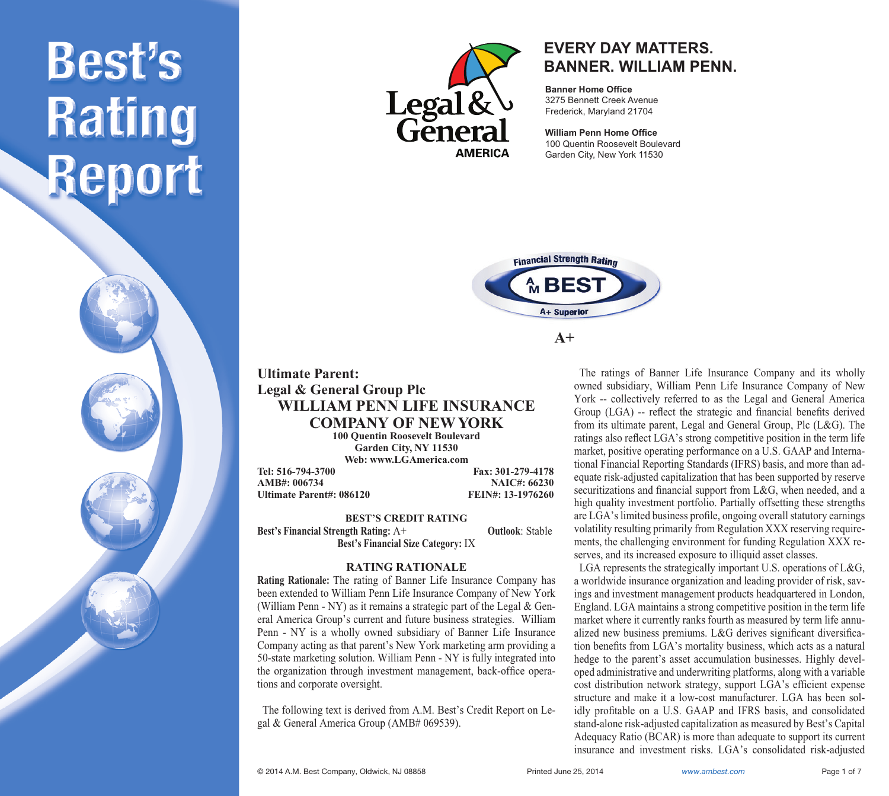



### **EVERY DAY MATTERS. BANNER. WILLIAM PENN.**

**Banner Home Office** 3275 Bennett Creek Avenue Frederick, Maryland 21704

**William Penn Home Office** 100 Quentin Roosevelt Boulevard Garden City, New York 11530



**A+**

### **Ultimate Parent: Legal & General Group Plc WILLIAM PENN LIFE INSURANCE COMPANY OF NEW YORK**

**100 Quentin Roosevelt Boulevard Garden City, NY 11530 Web: www.LGAmerica.com**

**Tel: 516-794-3700 Fax: 301-279-4178 AMB#: 006734 NAIC#: 66230 Ultimate Parent#: 086120** 

**BEST'S CREDIT RATING Best's Financial Strength Rating:** A+ **Outlook**: Stable **Best's Financial Size Category:** IX

### **RATING RATIONALE**

**Rating Rationale:** The rating of Banner Life Insurance Company has been extended to William Penn Life Insurance Company of New York (William Penn - NY) as it remains a strategic part of the Legal & General America Group's current and future business strategies. William Penn - NY is a wholly owned subsidiary of Banner Life Insurance Company acting as that parent's New York marketing arm providing a 50-state marketing solution. William Penn - NY is fully integrated into the organization through investment management, back-office operations and corporate oversight.

 The following text is derived from A.M. Best's Credit Report on Legal & General America Group (AMB# 069539).

 The ratings of Banner Life Insurance Company and its wholly owned subsidiary, William Penn Life Insurance Company of New York -- collectively referred to as the Legal and General America Group (LGA) -- reflect the strategic and financial benefits derived from its ultimate parent, Legal and General Group, Plc (L&G). The ratings also reflect LGA's strong competitive position in the term life market, positive operating performance on a U.S. GAAP and International Financial Reporting Standards (IFRS) basis, and more than adequate risk-adjusted capitalization that has been supported by reserve securitizations and financial support from L&G, when needed, and a high quality investment portfolio. Partially offsetting these strengths are LGA's limited business profile, ongoing overall statutory earnings volatility resulting primarily from Regulation XXX reserving requirements, the challenging environment for funding Regulation XXX reserves, and its increased exposure to illiquid asset classes.

 LGA represents the strategically important U.S. operations of L&G, a worldwide insurance organization and leading provider of risk, savings and investment management products headquartered in London, England. LGA maintains a strong competitive position in the term life market where it currently ranks fourth as measured by term life annualized new business premiums. L&G derives significant diversification benefits from LGA's mortality business, which acts as a natural hedge to the parent's asset accumulation businesses. Highly developed administrative and underwriting platforms, along with a variable cost distribution network strategy, support LGA's efficient expense structure and make it a low-cost manufacturer. LGA has been solidly profitable on a U.S. GAAP and IFRS basis, and consolidated stand-alone risk-adjusted capitalization as measured by Best's Capital Adequacy Ratio (BCAR) is more than adequate to support its current insurance and investment risks. LGA's consolidated risk-adjusted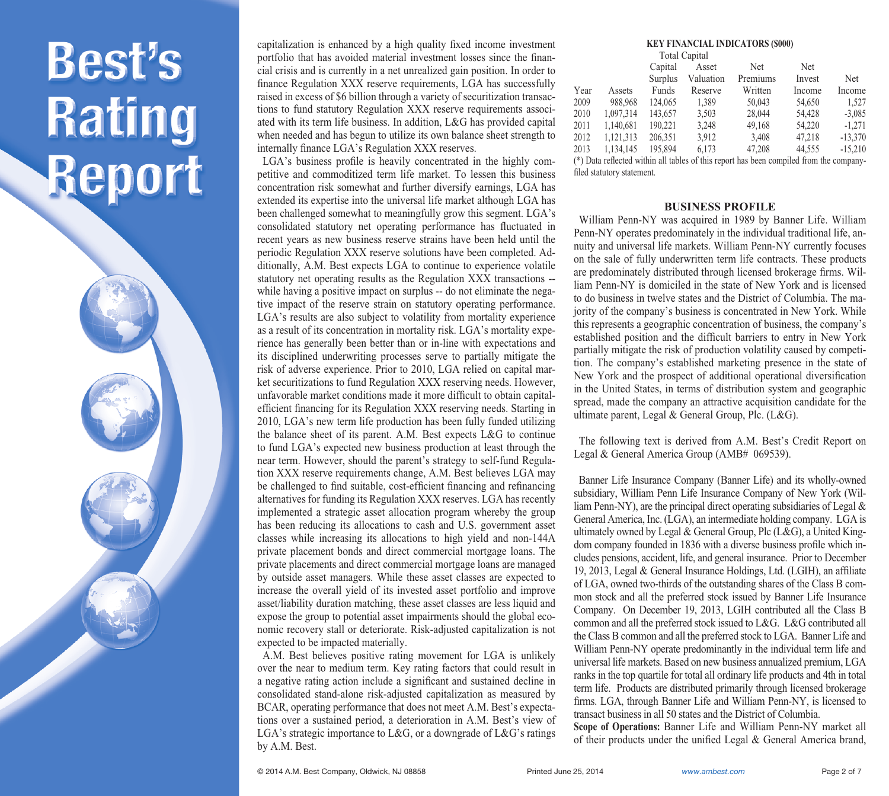capitalization is enhanced by a high quality fixed income investment portfolio that has avoided material investment losses since the financial crisis and is currently in a net unrealized gain position. In order to finance Regulation XXX reserve requirements, LGA has successfully raised in excess of \$6 billion through a variety of securitization transactions to fund statutory Regulation XXX reserve requirements associated with its term life business. In addition, L&G has provided capital when needed and has begun to utilize its own balance sheet strength to internally finance LGA's Regulation XXX reserves.

LGA's business profile is heavily concentrated in the highly competitive and commoditized term life market. To lessen this business concentration risk somewhat and further diversify earnings, LGA has extended its expertise into the universal life market although LGA has been challenged somewhat to meaningfully grow this segment. LGA's consolidated statutory net operating performance has fluctuated in recent years as new business reserve strains have been held until the periodic Regulation XXX reserve solutions have been completed. Additionally, A.M. Best expects LGA to continue to experience volatile statutory net operating results as the Regulation XXX transactions - while having a positive impact on surplus -- do not eliminate the negative impact of the reserve strain on statutory operating performance. LGA's results are also subject to volatility from mortality experience as a result of its concentration in mortality risk. LGA's mortality experience has generally been better than or in-line with expectations and its disciplined underwriting processes serve to partially mitigate the risk of adverse experience. Prior to 2010, LGA relied on capital market securitizations to fund Regulation XXX reserving needs. However, unfavorable market conditions made it more difficult to obtain capitalefficient financing for its Regulation XXX reserving needs. Starting in 2010, LGA's new term life production has been fully funded utilizing the balance sheet of its parent. A.M. Best expects L&G to continue to fund LGA's expected new business production at least through the near term. However, should the parent's strategy to self-fund Regulation XXX reserve requirements change, A.M. Best believes LGA may be challenged to find suitable, cost-efficient financing and refinancing alternatives for funding its Regulation XXX reserves. LGA has recently implemented a strategic asset allocation program whereby the group has been reducing its allocations to cash and U.S. government asset classes while increasing its allocations to high yield and non-144A private placement bonds and direct commercial mortgage loans. The private placements and direct commercial mortgage loans are managed by outside asset managers. While these asset classes are expected to increase the overall yield of its invested asset portfolio and improve asset/liability duration matching, these asset classes are less liquid and expose the group to potential asset impairments should the global economic recovery stall or deteriorate. Risk-adjusted capitalization is not expected to be impacted materially.

 A.M. Best believes positive rating movement for LGA is unlikely over the near to medium term. Key rating factors that could result in a negative rating action include a significant and sustained decline in consolidated stand-alone risk-adjusted capitalization as measured by BCAR, operating performance that does not meet A.M. Best's expectations over a sustained period, a deterioration in A.M. Best's view of LGA's strategic importance to L&G, or a downgrade of L&G's ratings by A.M. Best.

#### **KEY FINANCIAL INDICATORS (\$000)**

|                                                                                         | <b>Total Capital</b> |         |           |            |            |            |
|-----------------------------------------------------------------------------------------|----------------------|---------|-----------|------------|------------|------------|
|                                                                                         |                      | Capital | Asset     | <b>Net</b> | <b>Net</b> |            |
|                                                                                         |                      | Surplus | Valuation | Premiums   | Invest     | <b>Net</b> |
| Year                                                                                    | Assets               | Funds   | Reserve   | Written    | Income     | Income     |
| 2009                                                                                    | 988.968              | 124,065 | 1.389     | 50,043     | 54,650     | 1.527      |
| 2010                                                                                    | 1.097.314            | 143,657 | 3.503     | 28,044     | 54.428     | $-3,085$   |
| 2011                                                                                    | 1.140.681            | 190.221 | 3.248     | 49,168     | 54.220     | $-1.271$   |
| 2012                                                                                    | 1.121.313            | 206.351 | 3.912     | 3.408      | 47.218     | $-13.370$  |
| 2013                                                                                    | 1.134.145            | 195.894 | 6.173     | 47.208     | 44.555     | $-15.210$  |
| (*) Data reflected within all tables of this report has been compiled from the company- |                      |         |           |            |            |            |
| filed statutory statement.                                                              |                      |         |           |            |            |            |

**BUSINESS PROFILE**

 William Penn-NY was acquired in 1989 by Banner Life. William Penn-NY operates predominately in the individual traditional life, annuity and universal life markets. William Penn-NY currently focuses on the sale of fully underwritten term life contracts. These products are predominately distributed through licensed brokerage firms. William Penn-NY is domiciled in the state of New York and is licensed to do business in twelve states and the District of Columbia. The majority of the company's business is concentrated in New York. While this represents a geographic concentration of business, the company's established position and the difficult barriers to entry in New York partially mitigate the risk of production volatility caused by competition. The company's established marketing presence in the state of New York and the prospect of additional operational diversification in the United States, in terms of distribution system and geographic spread, made the company an attractive acquisition candidate for the ultimate parent, Legal & General Group, Plc. (L&G).

 The following text is derived from A.M. Best's Credit Report on Legal & General America Group (AMB# 069539).

 Banner Life Insurance Company (Banner Life) and its wholly-owned subsidiary, William Penn Life Insurance Company of New York (William Penn-NY), are the principal direct operating subsidiaries of Legal & General America, Inc. (LGA), an intermediate holding company. LGA is ultimately owned by Legal & General Group, Plc (L&G), a United Kingdom company founded in 1836 with a diverse business profile which includes pensions, accident, life, and general insurance. Prior to December 19, 2013, Legal & General Insurance Holdings, Ltd. (LGIH), an affiliate of LGA, owned two-thirds of the outstanding shares of the Class B common stock and all the preferred stock issued by Banner Life Insurance Company. On December 19, 2013, LGIH contributed all the Class B common and all the preferred stock issued to L&G. L&G contributed all the Class B common and all the preferred stock to LGA. Banner Life and William Penn-NY operate predominantly in the individual term life and universal life markets. Based on new business annualized premium, LGA ranks in the top quartile for total all ordinary life products and 4th in total term life. Products are distributed primarily through licensed brokerage firms. LGA, through Banner Life and William Penn-NY, is licensed to transact business in all 50 states and the District of Columbia.

**Scope of Operations:** Banner Life and William Penn-NY market all of their products under the unified Legal  $&$  General America brand,

© 2014 A.M. Best Company, Oldwick, NJ 08858 Printed June 25, 2014 *www.ambest.com* Page 2 of 7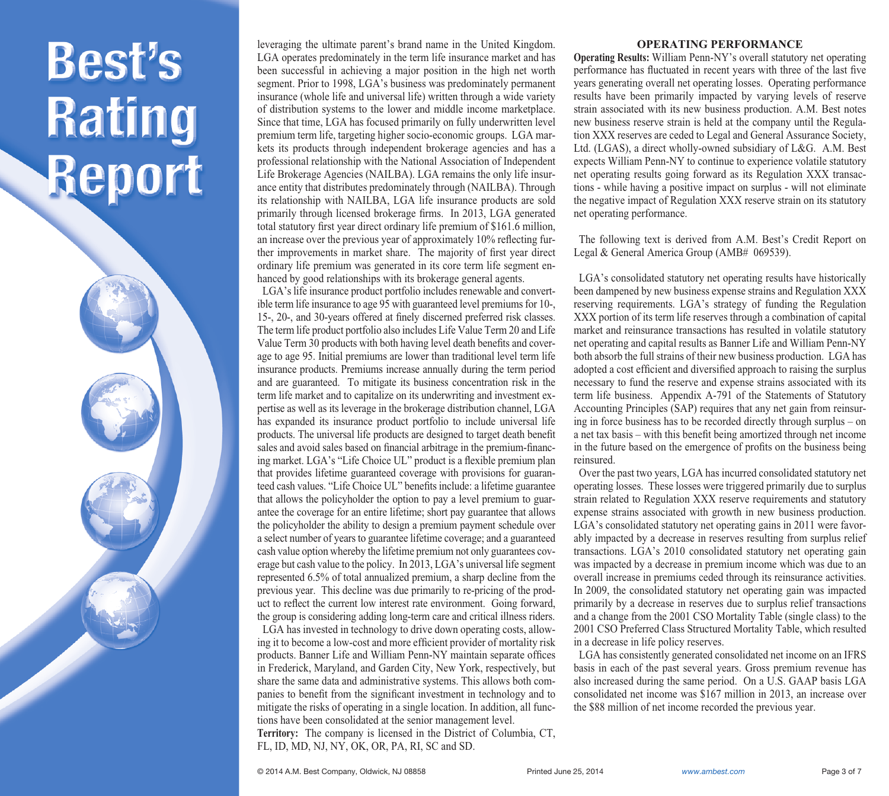leveraging the ultimate parent's brand name in the United Kingdom. LGA operates predominately in the term life insurance market and has been successful in achieving a major position in the high net worth segment. Prior to 1998, LGA's business was predominately permanent insurance (whole life and universal life) written through a wide variety of distribution systems to the lower and middle income marketplace. Since that time, LGA has focused primarily on fully underwritten level premium term life, targeting higher socio-economic groups. LGA markets its products through independent brokerage agencies and has a professional relationship with the National Association of Independent Life Brokerage Agencies (NAILBA). LGA remains the only life insurance entity that distributes predominately through (NAILBA). Through its relationship with NAILBA, LGA life insurance products are sold primarily through licensed brokerage firms. In 2013, LGA generated total statutory first year direct ordinary life premium of \$161.6 million, an increase over the previous year of approximately 10% reflecting further improvements in market share. The majority of first year direct ordinary life premium was generated in its core term life segment enhanced by good relationships with its brokerage general agents.

 LGA's life insurance product portfolio includes renewable and convertible term life insurance to age 95 with guaranteed level premiums for 10-, 15-, 20-, and 30-years offered at finely discerned preferred risk classes. The term life product portfolio also includes Life Value Term 20 and Life Value Term 30 products with both having level death benefits and coverage to age 95. Initial premiums are lower than traditional level term life insurance products. Premiums increase annually during the term period and are guaranteed. To mitigate its business concentration risk in the term life market and to capitalize on its underwriting and investment expertise as well as its leverage in the brokerage distribution channel, LGA has expanded its insurance product portfolio to include universal life products. The universal life products are designed to target death benefit sales and avoid sales based on financial arbitrage in the premium-financing market. LGA's "Life Choice UL" product is a flexible premium plan that provides lifetime guaranteed coverage with provisions for guaranteed cash values. "Life Choice UL" benefits include: a lifetime guarantee that allows the policyholder the option to pay a level premium to guarantee the coverage for an entire lifetime; short pay guarantee that allows the policyholder the ability to design a premium payment schedule over a select number of years to guarantee lifetime coverage; and a guaranteed cash value option whereby the lifetime premium not only guarantees coverage but cash value to the policy. In 2013, LGA's universal life segment represented 6.5% of total annualized premium, a sharp decline from the previous year. This decline was due primarily to re-pricing of the product to reflect the current low interest rate environment. Going forward, the group is considering adding long-term care and critical illness riders.

 LGA has invested in technology to drive down operating costs, allowing it to become a low-cost and more efficient provider of mortality risk products. Banner Life and William Penn-NY maintain separate offices in Frederick, Maryland, and Garden City, New York, respectively, but share the same data and administrative systems. This allows both companies to benefit from the significant investment in technology and to mitigate the risks of operating in a single location. In addition, all functions have been consolidated at the senior management level. **Territory:** The company is licensed in the District of Columbia, CT, FL, ID, MD, NJ, NY, OK, OR, PA, RI, SC and SD.

#### **OPERATING PERFORMANCE**

**Operating Results:** William Penn-NY's overall statutory net operating performance has fluctuated in recent years with three of the last five years generating overall net operating losses. Operating performance results have been primarily impacted by varying levels of reserve strain associated with its new business production. A.M. Best notes new business reserve strain is held at the company until the Regulation XXX reserves are ceded to Legal and General Assurance Society, Ltd. (LGAS), a direct wholly-owned subsidiary of L&G. A.M. Best expects William Penn-NY to continue to experience volatile statutory net operating results going forward as its Regulation XXX transactions - while having a positive impact on surplus - will not eliminate the negative impact of Regulation XXX reserve strain on its statutory net operating performance.

 The following text is derived from A.M. Best's Credit Report on Legal & General America Group (AMB# 069539).

 LGA's consolidated statutory net operating results have historically been dampened by new business expense strains and Regulation XXX reserving requirements. LGA's strategy of funding the Regulation XXX portion of its term life reserves through a combination of capital market and reinsurance transactions has resulted in volatile statutory net operating and capital results as Banner Life and William Penn-NY both absorb the full strains of their new business production. LGA has adopted a cost efficient and diversified approach to raising the surplus necessary to fund the reserve and expense strains associated with its term life business. Appendix A-791 of the Statements of Statutory Accounting Principles (SAP) requires that any net gain from reinsuring in force business has to be recorded directly through surplus – on a net tax basis – with this benefit being amortized through net income in the future based on the emergence of profits on the business being reinsured.

 Over the past two years, LGA has incurred consolidated statutory net operating losses. These losses were triggered primarily due to surplus strain related to Regulation XXX reserve requirements and statutory expense strains associated with growth in new business production. LGA's consolidated statutory net operating gains in 2011 were favorably impacted by a decrease in reserves resulting from surplus relief transactions. LGA's 2010 consolidated statutory net operating gain was impacted by a decrease in premium income which was due to an overall increase in premiums ceded through its reinsurance activities. In 2009, the consolidated statutory net operating gain was impacted primarily by a decrease in reserves due to surplus relief transactions and a change from the 2001 CSO Mortality Table (single class) to the 2001 CSO Preferred Class Structured Mortality Table, which resulted in a decrease in life policy reserves.

 LGA has consistently generated consolidated net income on an IFRS basis in each of the past several years. Gross premium revenue has also increased during the same period. On a U.S. GAAP basis LGA consolidated net income was \$167 million in 2013, an increase over the \$88 million of net income recorded the previous year.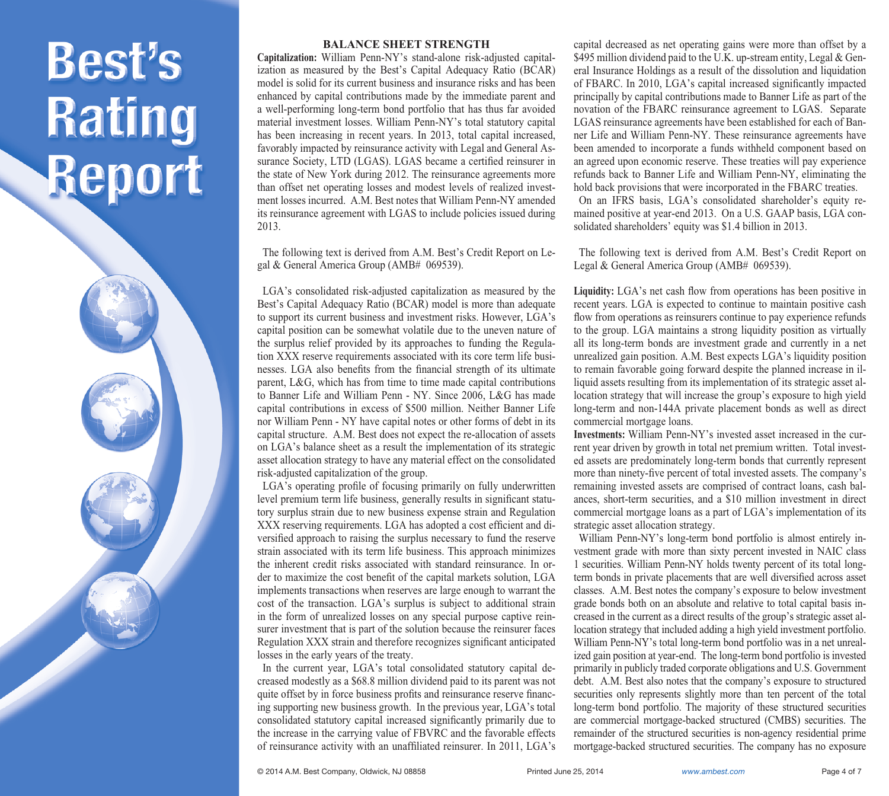

**Capitalization:** William Penn-NY's stand-alone risk-adjusted capitalization as measured by the Best's Capital Adequacy Ratio (BCAR) model is solid for its current business and insurance risks and has been enhanced by capital contributions made by the immediate parent and a well-performing long-term bond portfolio that has thus far avoided material investment losses. William Penn-NY's total statutory capital has been increasing in recent years. In 2013, total capital increased, favorably impacted by reinsurance activity with Legal and General Assurance Society, LTD (LGAS). LGAS became a certified reinsurer in the state of New York during 2012. The reinsurance agreements more than offset net operating losses and modest levels of realized investment losses incurred. A.M. Best notes that William Penn-NY amended its reinsurance agreement with LGAS to include policies issued during 2013.

 The following text is derived from A.M. Best's Credit Report on Legal & General America Group (AMB# 069539).

 LGA's consolidated risk-adjusted capitalization as measured by the Best's Capital Adequacy Ratio (BCAR) model is more than adequate to support its current business and investment risks. However, LGA's capital position can be somewhat volatile due to the uneven nature of the surplus relief provided by its approaches to funding the Regulation XXX reserve requirements associated with its core term life businesses. LGA also benefits from the financial strength of its ultimate parent, L&G, which has from time to time made capital contributions to Banner Life and William Penn - NY. Since 2006, L&G has made capital contributions in excess of \$500 million. Neither Banner Life nor William Penn - NY have capital notes or other forms of debt in its capital structure. A.M. Best does not expect the re-allocation of assets on LGA's balance sheet as a result the implementation of its strategic asset allocation strategy to have any material effect on the consolidated risk-adjusted capitalization of the group.

LGA's operating profile of focusing primarily on fully underwritten level premium term life business, generally results in significant statutory surplus strain due to new business expense strain and Regulation XXX reserving requirements. LGA has adopted a cost efficient and diversified approach to raising the surplus necessary to fund the reserve strain associated with its term life business. This approach minimizes the inherent credit risks associated with standard reinsurance. In order to maximize the cost benefit of the capital markets solution, LGA implements transactions when reserves are large enough to warrant the cost of the transaction. LGA's surplus is subject to additional strain in the form of unrealized losses on any special purpose captive reinsurer investment that is part of the solution because the reinsurer faces Regulation XXX strain and therefore recognizes significant anticipated losses in the early years of the treaty.

 In the current year, LGA's total consolidated statutory capital decreased modestly as a \$68.8 million dividend paid to its parent was not quite offset by in force business profits and reinsurance reserve financing supporting new business growth. In the previous year, LGA's total consolidated statutory capital increased significantly primarily due to the increase in the carrying value of FBVRC and the favorable effects of reinsurance activity with an unaffiliated reinsurer. In 2011, LGA's

capital decreased as net operating gains were more than offset by a \$495 million dividend paid to the U.K. up-stream entity, Legal & General Insurance Holdings as a result of the dissolution and liquidation of FBARC. In 2010, LGA's capital increased significantly impacted principally by capital contributions made to Banner Life as part of the novation of the FBARC reinsurance agreement to LGAS. Separate LGAS reinsurance agreements have been established for each of Banner Life and William Penn-NY. These reinsurance agreements have been amended to incorporate a funds withheld component based on an agreed upon economic reserve. These treaties will pay experience refunds back to Banner Life and William Penn-NY, eliminating the hold back provisions that were incorporated in the FBARC treaties. On an IFRS basis, LGA's consolidated shareholder's equity remained positive at year-end 2013. On a U.S. GAAP basis, LGA consolidated shareholders' equity was \$1.4 billion in 2013.

 The following text is derived from A.M. Best's Credit Report on Legal & General America Group (AMB# 069539).

Liquidity: LGA's net cash flow from operations has been positive in recent years. LGA is expected to continue to maintain positive cash flow from operations as reinsurers continue to pay experience refunds to the group. LGA maintains a strong liquidity position as virtually all its long-term bonds are investment grade and currently in a net unrealized gain position. A.M. Best expects LGA's liquidity position to remain favorable going forward despite the planned increase in illiquid assets resulting from its implementation of its strategic asset allocation strategy that will increase the group's exposure to high yield long-term and non-144A private placement bonds as well as direct commercial mortgage loans.

**Investments:** William Penn-NY's invested asset increased in the current year driven by growth in total net premium written. Total invested assets are predominately long-term bonds that currently represent more than ninety-five percent of total invested assets. The company's remaining invested assets are comprised of contract loans, cash balances, short-term securities, and a \$10 million investment in direct commercial mortgage loans as a part of LGA's implementation of its strategic asset allocation strategy.

 William Penn-NY's long-term bond portfolio is almost entirely investment grade with more than sixty percent invested in NAIC class 1 securities. William Penn-NY holds twenty percent of its total longterm bonds in private placements that are well diversified across asset classes. A.M. Best notes the company's exposure to below investment grade bonds both on an absolute and relative to total capital basis increased in the current as a direct results of the group's strategic asset allocation strategy that included adding a high yield investment portfolio. William Penn-NY's total long-term bond portfolio was in a net unrealized gain position at year-end. The long-term bond portfolio is invested primarily in publicly traded corporate obligations and U.S. Government debt. A.M. Best also notes that the company's exposure to structured securities only represents slightly more than ten percent of the total long-term bond portfolio. The majority of these structured securities are commercial mortgage-backed structured (CMBS) securities. The remainder of the structured securities is non-agency residential prime mortgage-backed structured securities. The company has no exposure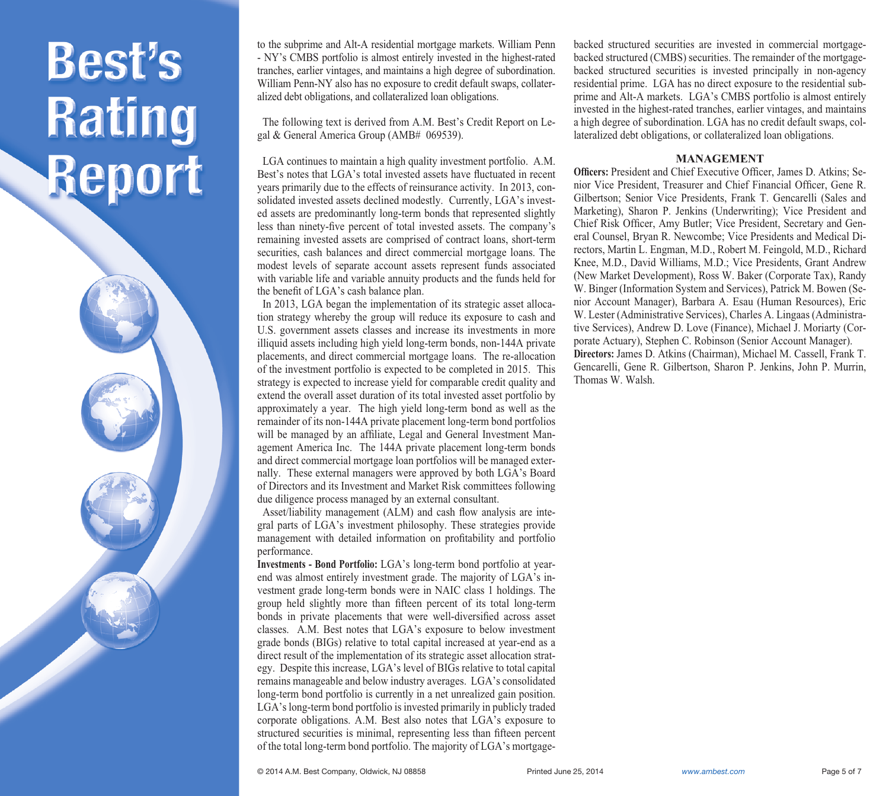to the subprime and Alt-A residential mortgage markets. William Penn - NY's CMBS portfolio is almost entirely invested in the highest-rated tranches, earlier vintages, and maintains a high degree of subordination. William Penn-NY also has no exposure to credit default swaps, collateralized debt obligations, and collateralized loan obligations.

 The following text is derived from A.M. Best's Credit Report on Legal & General America Group (AMB# 069539).

 LGA continues to maintain a high quality investment portfolio. A.M. Best's notes that LGA's total invested assets have fluctuated in recent years primarily due to the effects of reinsurance activity. In 2013, consolidated invested assets declined modestly. Currently, LGA's invested assets are predominantly long-term bonds that represented slightly less than ninety-five percent of total invested assets. The company's remaining invested assets are comprised of contract loans, short-term securities, cash balances and direct commercial mortgage loans. The modest levels of separate account assets represent funds associated with variable life and variable annuity products and the funds held for the benefit of LGA's cash balance plan.

 In 2013, LGA began the implementation of its strategic asset allocation strategy whereby the group will reduce its exposure to cash and U.S. government assets classes and increase its investments in more illiquid assets including high yield long-term bonds, non-144A private placements, and direct commercial mortgage loans. The re-allocation of the investment portfolio is expected to be completed in 2015. This strategy is expected to increase yield for comparable credit quality and extend the overall asset duration of its total invested asset portfolio by approximately a year. The high yield long-term bond as well as the remainder of its non-144A private placement long-term bond portfolios will be managed by an affiliate, Legal and General Investment Management America Inc. The 144A private placement long-term bonds and direct commercial mortgage loan portfolios will be managed externally. These external managers were approved by both LGA's Board of Directors and its Investment and Market Risk committees following due diligence process managed by an external consultant.

Asset/liability management (ALM) and cash flow analysis are integral parts of LGA's investment philosophy. These strategies provide management with detailed information on profitability and portfolio performance.

**Investments - Bond Portfolio:** LGA's long-term bond portfolio at yearend was almost entirely investment grade. The majority of LGA's investment grade long-term bonds were in NAIC class 1 holdings. The group held slightly more than fifteen percent of its total long-term bonds in private placements that were well-diversified across asset classes. A.M. Best notes that LGA's exposure to below investment grade bonds (BIGs) relative to total capital increased at year-end as a direct result of the implementation of its strategic asset allocation strategy. Despite this increase, LGA's level of BIGs relative to total capital remains manageable and below industry averages. LGA's consolidated long-term bond portfolio is currently in a net unrealized gain position. LGA's long-term bond portfolio is invested primarily in publicly traded corporate obligations. A.M. Best also notes that LGA's exposure to structured securities is minimal, representing less than fifteen percent of the total long-term bond portfolio. The majority of LGA's mortgagebacked structured securities are invested in commercial mortgagebacked structured (CMBS) securities. The remainder of the mortgagebacked structured securities is invested principally in non-agency residential prime. LGA has no direct exposure to the residential subprime and Alt-A markets. LGA's CMBS portfolio is almost entirely invested in the highest-rated tranches, earlier vintages, and maintains a high degree of subordination. LGA has no credit default swaps, collateralized debt obligations, or collateralized loan obligations.

#### **MANAGEMENT**

**Officers:** President and Chief Executive Officer, James D. Atkins: Senior Vice President, Treasurer and Chief Financial Officer, Gene R. Gilbertson; Senior Vice Presidents, Frank T. Gencarelli (Sales and Marketing), Sharon P. Jenkins (Underwriting); Vice President and Chief Risk Officer, Amy Butler; Vice President, Secretary and General Counsel, Bryan R. Newcombe; Vice Presidents and Medical Directors, Martin L. Engman, M.D., Robert M. Feingold, M.D., Richard Knee, M.D., David Williams, M.D.; Vice Presidents, Grant Andrew (New Market Development), Ross W. Baker (Corporate Tax), Randy W. Binger (Information System and Services), Patrick M. Bowen (Senior Account Manager), Barbara A. Esau (Human Resources), Eric W. Lester (Administrative Services), Charles A. Lingaas (Administrative Services), Andrew D. Love (Finance), Michael J. Moriarty (Corporate Actuary), Stephen C. Robinson (Senior Account Manager). **Directors:** James D. Atkins (Chairman), Michael M. Cassell, Frank T. Gencarelli, Gene R. Gilbertson, Sharon P. Jenkins, John P. Murrin, Thomas W. Walsh.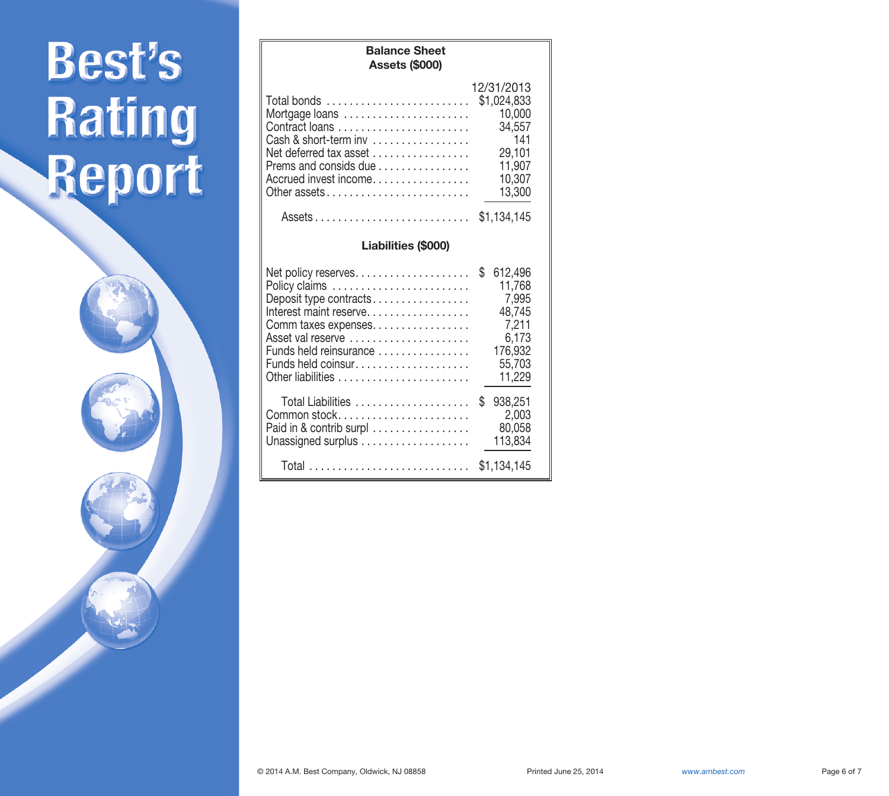**Assets (\$000)** 12/31/2013 Total bonds . . . . . . . . . . . . . . . . . . . . . . . . . \$1,024,833 Mortgage loans . . . . . . . . . . . . . . . . . . . . . . 10,000 Contract loans . . . . . . . . . . . . . . . . . . . . . . . 34,557 Cash & short-term inv . . . . . . . . . . . . . . . . . 141 Net deferred tax asset  $\dots\dots\dots\dots\dots\dots$ Prems and consids due . . . . . . . . . . . . . . . . . 11,907<br>Accrued invest income . . . . . . . . . . . . . . . . 10.307 Accrued invest income. . . . . . . . . . . . . . . . . 10,307 Other assets . . . . . . . . . . . . . . . . . . . . . . . . . 13,300 Assets . . . . . . . . . . . . . . . . . . . . . . . . . . . \$1,134,145 **Liabilities (\$000)** Net policy reserves. . . . . . . . . . . . . . . . . . . . \$ 612,496 Policy claims . . . . . . . . . . . . . . . . . . . . . . . . 11,768 Deposit type contracts. . . . . . . . . . . . . . . . . . 7,995<br>Interest maint reserve. . . . . . . . . . . . . . . . . 48.745 Interest maint reserve. . . . . . . . . . . . . . . . . . 48,745<br>Comm taxes expenses. . . . . . . . . . . . . . . . . . 7.211 Comm taxes expenses. . . . . . . . . . . . . . . . . 7,211 Asset val reserve . . . . . . . . . . . . . . . . . . . . . 6,173 Funds held reinsurance Funds held coinsur. . . . . . . . . . . . . . . . . . . . 55,703 Other liabilities . . . . . . . . . . . . . . . . . . . . . . . 11,229 Total Liabilities . . . . . . . . . . . . . . . . . . . . \$ 938,251 Common stock. . . . . . . . . . . . . . . . . . . . . . . 2,003 Paid in  $&$  contrib surpl  $\ldots \ldots \ldots \ldots \ldots$ Unassigned surplus . . . . . . . . . . . . . . . . . . . 113,834 Total . . . . . . . . . . . . . . . . . . . . . . . . . . . . \$1,134,145

**Balance Sheet**